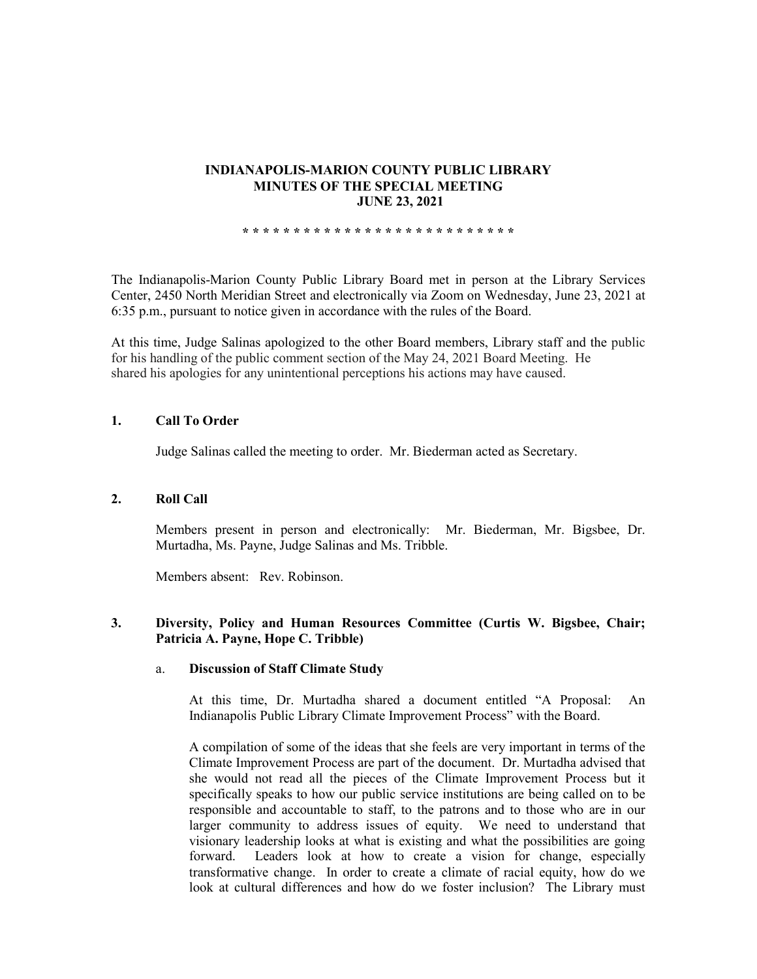#### **INDIANAPOLIS-MARION COUNTY PUBLIC LIBRARY MINUTES OF THE SPECIAL MEETING JUNE 23, 2021**

**\* \* \* \* \* \* \* \* \* \* \* \* \* \* \* \* \* \* \* \* \* \* \* \* \* \* \***

The Indianapolis-Marion County Public Library Board met in person at the Library Services Center, 2450 North Meridian Street and electronically via Zoom on Wednesday, June 23, 2021 at 6:35 p.m., pursuant to notice given in accordance with the rules of the Board.

At this time, Judge Salinas apologized to the other Board members, Library staff and the public for his handling of the public comment section of the May 24, 2021 Board Meeting. He shared his apologies for any unintentional perceptions his actions may have caused.

## **1. Call To Order**

Judge Salinas called the meeting to order. Mr. Biederman acted as Secretary.

## **2. Roll Call**

Members present in person and electronically: Mr. Biederman, Mr. Bigsbee, Dr. Murtadha, Ms. Payne, Judge Salinas and Ms. Tribble.

Members absent: Rev. Robinson.

## **3. Diversity, Policy and Human Resources Committee (Curtis W. Bigsbee, Chair; Patricia A. Payne, Hope C. Tribble)**

## a. **Discussion of Staff Climate Study**

At this time, Dr. Murtadha shared a document entitled "A Proposal: An Indianapolis Public Library Climate Improvement Process" with the Board.

A compilation of some of the ideas that she feels are very important in terms of the Climate Improvement Process are part of the document. Dr. Murtadha advised that she would not read all the pieces of the Climate Improvement Process but it specifically speaks to how our public service institutions are being called on to be responsible and accountable to staff, to the patrons and to those who are in our larger community to address issues of equity. We need to understand that visionary leadership looks at what is existing and what the possibilities are going forward. Leaders look at how to create a vision for change, especially transformative change. In order to create a climate of racial equity, how do we look at cultural differences and how do we foster inclusion? The Library must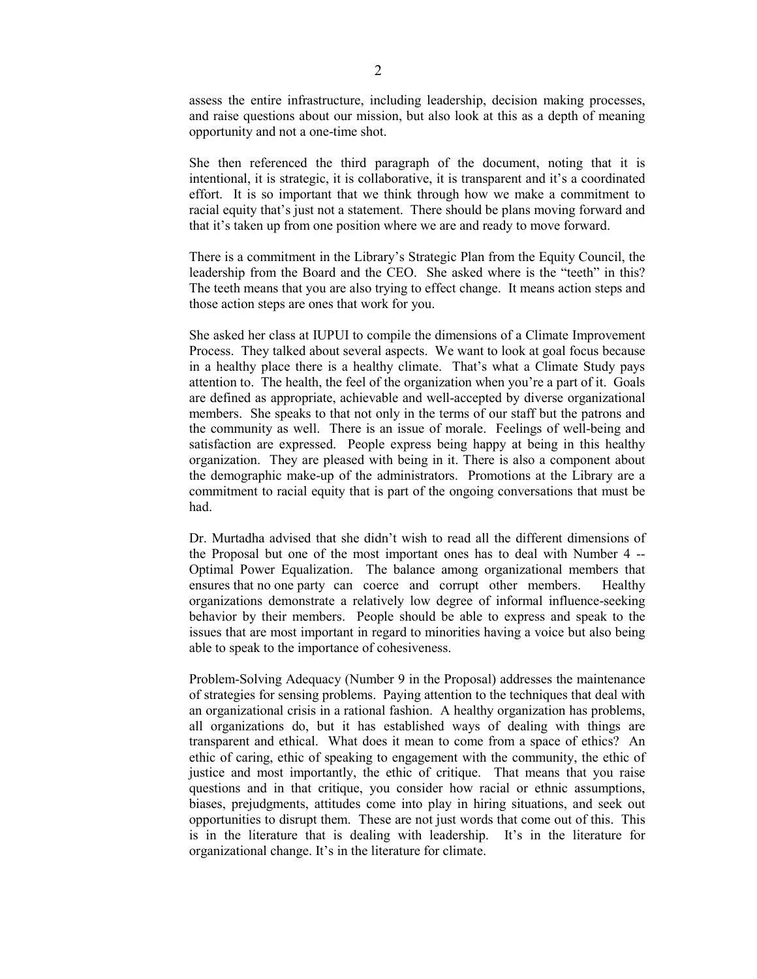assess the entire infrastructure, including leadership, decision making processes, and raise questions about our mission, but also look at this as a depth of meaning opportunity and not a one-time shot.

She then referenced the third paragraph of the document, noting that it is intentional, it is strategic, it is collaborative, it is transparent and it's a coordinated effort. It is so important that we think through how we make a commitment to racial equity that's just not a statement. There should be plans moving forward and that it's taken up from one position where we are and ready to move forward.

There is a commitment in the Library's Strategic Plan from the Equity Council, the leadership from the Board and the CEO. She asked where is the "teeth" in this? The teeth means that you are also trying to effect change. It means action steps and those action steps are ones that work for you.

She asked her class at IUPUI to compile the dimensions of a Climate Improvement Process. They talked about several aspects. We want to look at goal focus because in a healthy place there is a healthy climate. That's what a Climate Study pays attention to. The health, the feel of the organization when you're a part of it. Goals are defined as appropriate, achievable and well-accepted by diverse organizational members. She speaks to that not only in the terms of our staff but the patrons and the community as well. There is an issue of morale. Feelings of well-being and satisfaction are expressed. People express being happy at being in this healthy organization. They are pleased with being in it. There is also a component about the demographic make-up of the administrators. Promotions at the Library are a commitment to racial equity that is part of the ongoing conversations that must be had.

Dr. Murtadha advised that she didn't wish to read all the different dimensions of the Proposal but one of the most important ones has to deal with Number 4 -- Optimal Power Equalization. The balance among organizational members that ensures that no one party can coerce and corrupt other members. Healthy organizations demonstrate a relatively low degree of informal influence-seeking behavior by their members. People should be able to express and speak to the issues that are most important in regard to minorities having a voice but also being able to speak to the importance of cohesiveness.

Problem-Solving Adequacy (Number 9 in the Proposal) addresses the maintenance of strategies for sensing problems. Paying attention to the techniques that deal with an organizational crisis in a rational fashion. A healthy organization has problems, all organizations do, but it has established ways of dealing with things are transparent and ethical. What does it mean to come from a space of ethics? An ethic of caring, ethic of speaking to engagement with the community, the ethic of justice and most importantly, the ethic of critique. That means that you raise questions and in that critique, you consider how racial or ethnic assumptions, biases, prejudgments, attitudes come into play in hiring situations, and seek out opportunities to disrupt them. These are not just words that come out of this. This is in the literature that is dealing with leadership. It's in the literature for organizational change. It's in the literature for climate.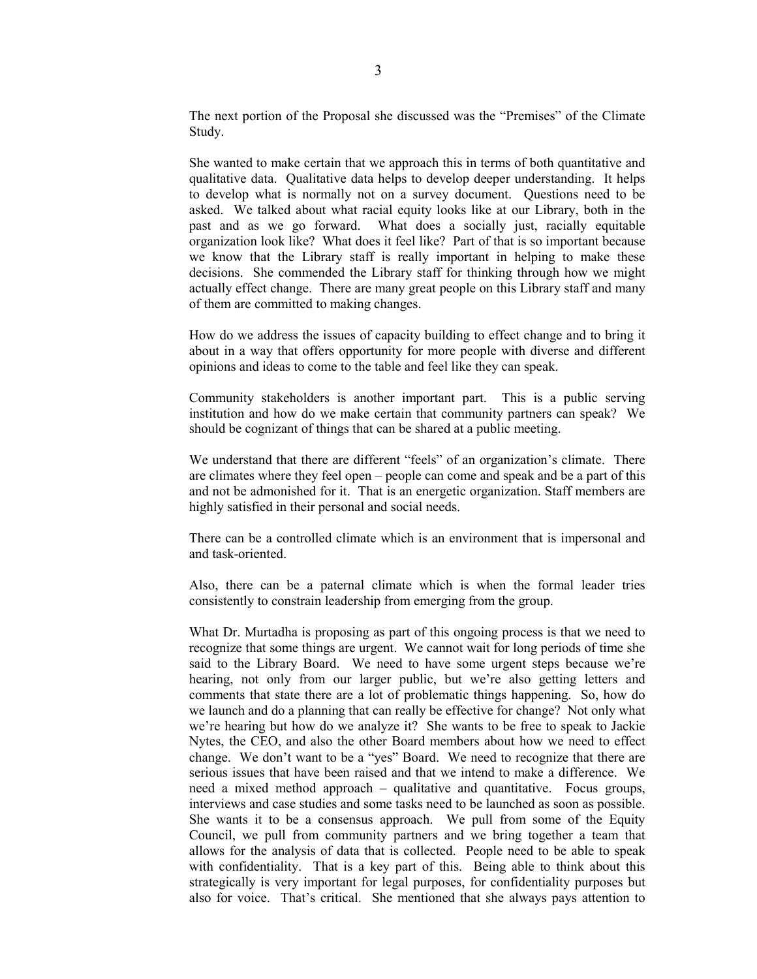The next portion of the Proposal she discussed was the "Premises" of the Climate Study.

She wanted to make certain that we approach this in terms of both quantitative and qualitative data. Qualitative data helps to develop deeper understanding. It helps to develop what is normally not on a survey document. Questions need to be asked. We talked about what racial equity looks like at our Library, both in the past and as we go forward. What does a socially just, racially equitable organization look like? What does it feel like? Part of that is so important because we know that the Library staff is really important in helping to make these decisions. She commended the Library staff for thinking through how we might actually effect change. There are many great people on this Library staff and many of them are committed to making changes.

How do we address the issues of capacity building to effect change and to bring it about in a way that offers opportunity for more people with diverse and different opinions and ideas to come to the table and feel like they can speak.

Community stakeholders is another important part. This is a public serving institution and how do we make certain that community partners can speak? We should be cognizant of things that can be shared at a public meeting.

We understand that there are different "feels" of an organization's climate. There are climates where they feel open – people can come and speak and be a part of this and not be admonished for it. That is an energetic organization. Staff members are highly satisfied in their personal and social needs.

There can be a controlled climate which is an environment that is impersonal and and task-oriented.

Also, there can be a paternal climate which is when the formal leader tries consistently to constrain leadership from emerging from the group.

What Dr. Murtadha is proposing as part of this ongoing process is that we need to recognize that some things are urgent. We cannot wait for long periods of time she said to the Library Board. We need to have some urgent steps because we're hearing, not only from our larger public, but we're also getting letters and comments that state there are a lot of problematic things happening. So, how do we launch and do a planning that can really be effective for change? Not only what we're hearing but how do we analyze it? She wants to be free to speak to Jackie Nytes, the CEO, and also the other Board members about how we need to effect change. We don't want to be a "yes" Board. We need to recognize that there are serious issues that have been raised and that we intend to make a difference. We need a mixed method approach – qualitative and quantitative. Focus groups, interviews and case studies and some tasks need to be launched as soon as possible. She wants it to be a consensus approach. We pull from some of the Equity Council, we pull from community partners and we bring together a team that allows for the analysis of data that is collected. People need to be able to speak with confidentiality. That is a key part of this. Being able to think about this strategically is very important for legal purposes, for confidentiality purposes but also for voice. That's critical. She mentioned that she always pays attention to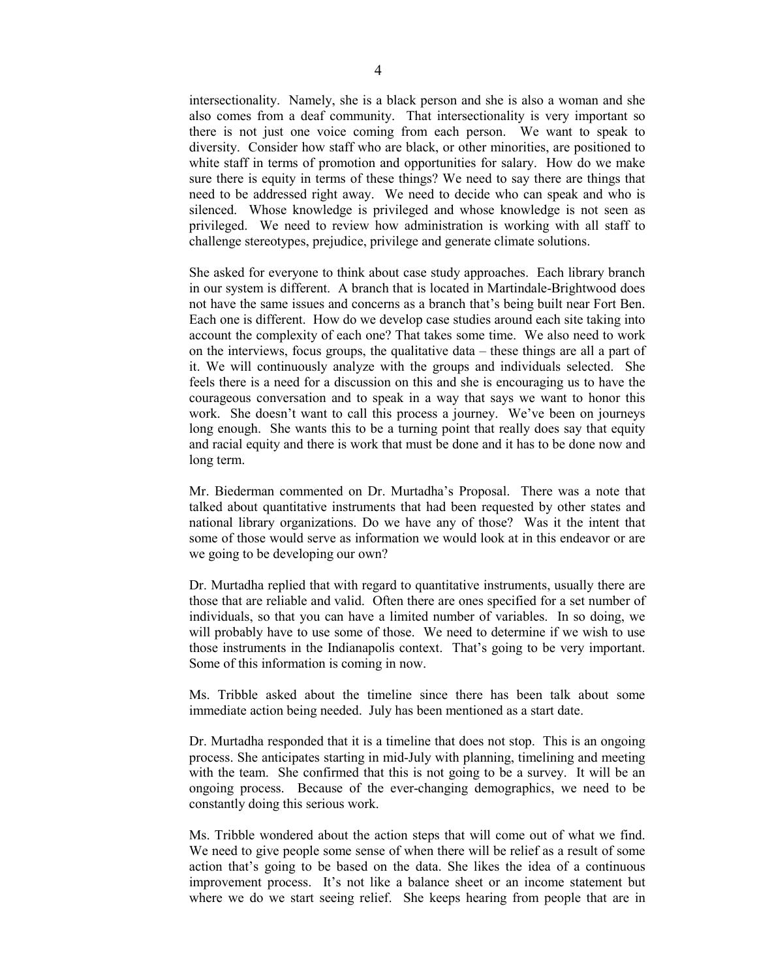intersectionality. Namely, she is a black person and she is also a woman and she also comes from a deaf community. That intersectionality is very important so there is not just one voice coming from each person. We want to speak to diversity. Consider how staff who are black, or other minorities, are positioned to white staff in terms of promotion and opportunities for salary. How do we make sure there is equity in terms of these things? We need to say there are things that need to be addressed right away. We need to decide who can speak and who is silenced. Whose knowledge is privileged and whose knowledge is not seen as privileged. We need to review how administration is working with all staff to challenge stereotypes, prejudice, privilege and generate climate solutions.

She asked for everyone to think about case study approaches. Each library branch in our system is different. A branch that is located in Martindale-Brightwood does not have the same issues and concerns as a branch that's being built near Fort Ben. Each one is different. How do we develop case studies around each site taking into account the complexity of each one? That takes some time. We also need to work on the interviews, focus groups, the qualitative data – these things are all a part of it. We will continuously analyze with the groups and individuals selected. She feels there is a need for a discussion on this and she is encouraging us to have the courageous conversation and to speak in a way that says we want to honor this work. She doesn't want to call this process a journey. We've been on journeys long enough. She wants this to be a turning point that really does say that equity and racial equity and there is work that must be done and it has to be done now and long term.

Mr. Biederman commented on Dr. Murtadha's Proposal. There was a note that talked about quantitative instruments that had been requested by other states and national library organizations. Do we have any of those? Was it the intent that some of those would serve as information we would look at in this endeavor or are we going to be developing our own?

Dr. Murtadha replied that with regard to quantitative instruments, usually there are those that are reliable and valid. Often there are ones specified for a set number of individuals, so that you can have a limited number of variables. In so doing, we will probably have to use some of those. We need to determine if we wish to use those instruments in the Indianapolis context. That's going to be very important. Some of this information is coming in now.

Ms. Tribble asked about the timeline since there has been talk about some immediate action being needed. July has been mentioned as a start date.

Dr. Murtadha responded that it is a timeline that does not stop. This is an ongoing process. She anticipates starting in mid-July with planning, timelining and meeting with the team. She confirmed that this is not going to be a survey. It will be an ongoing process. Because of the ever-changing demographics, we need to be constantly doing this serious work.

Ms. Tribble wondered about the action steps that will come out of what we find. We need to give people some sense of when there will be relief as a result of some action that's going to be based on the data. She likes the idea of a continuous improvement process. It's not like a balance sheet or an income statement but where we do we start seeing relief. She keeps hearing from people that are in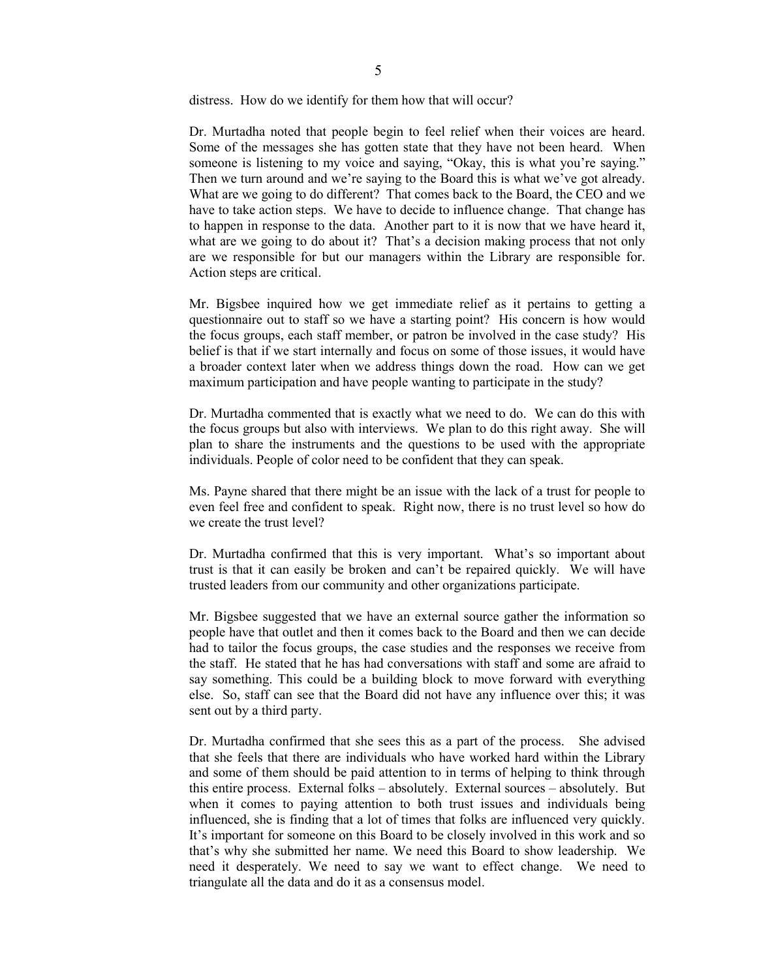distress. How do we identify for them how that will occur?

Dr. Murtadha noted that people begin to feel relief when their voices are heard. Some of the messages she has gotten state that they have not been heard. When some one is listening to my voice and saying, "Okay, this is what you're saying." Then we turn around and we're saying to the Board this is what we've got already. What are we going to do different? That comes back to the Board, the CEO and we have to take action steps. We have to decide to influence change. That change has to happen in response to the data. Another part to it is now that we have heard it, what are we going to do about it? That's a decision making process that not only are we responsible for but our managers within the Library are responsible for. Action steps are critical.

Mr. Bigsbee inquired how we get immediate relief as it pertains to getting a questionnaire out to staff so we have a starting point? His concern is how would the focus groups, each staff member, or patron be involved in the case study? His belief is that if we start internally and focus on some of those issues, it would have a broader context later when we address things down the road. How can we get maximum participation and have people wanting to participate in the study?

Dr. Murtadha commented that is exactly what we need to do. We can do this with the focus groups but also with interviews. We plan to do this right away. She will plan to share the instruments and the questions to be used with the appropriate individuals. People of color need to be confident that they can speak.

Ms. Payne shared that there might be an issue with the lack of a trust for people to even feel free and confident to speak. Right now, there is no trust level so how do we create the trust level?

Dr. Murtadha confirmed that this is very important. What's so important about trust is that it can easily be broken and can't be repaired quickly. We will have trusted leaders from our community and other organizations participate.

Mr. Bigsbee suggested that we have an external source gather the information so people have that outlet and then it comes back to the Board and then we can decide had to tailor the focus groups, the case studies and the responses we receive from the staff. He stated that he has had conversations with staff and some are afraid to say something. This could be a building block to move forward with everything else. So, staff can see that the Board did not have any influence over this; it was sent out by a third party.

Dr. Murtadha confirmed that she sees this as a part of the process. She advised that she feels that there are individuals who have worked hard within the Library and some of them should be paid attention to in terms of helping to think through this entire process. External folks – absolutely. External sources – absolutely. But when it comes to paying attention to both trust issues and individuals being influenced, she is finding that a lot of times that folks are influenced very quickly. It's important for someone on this Board to be closely involved in this work and so that's why she submitted her name. We need this Board to show leadership. We need it desperately. We need to say we want to effect change. We need to triangulate all the data and do it as a consensus model.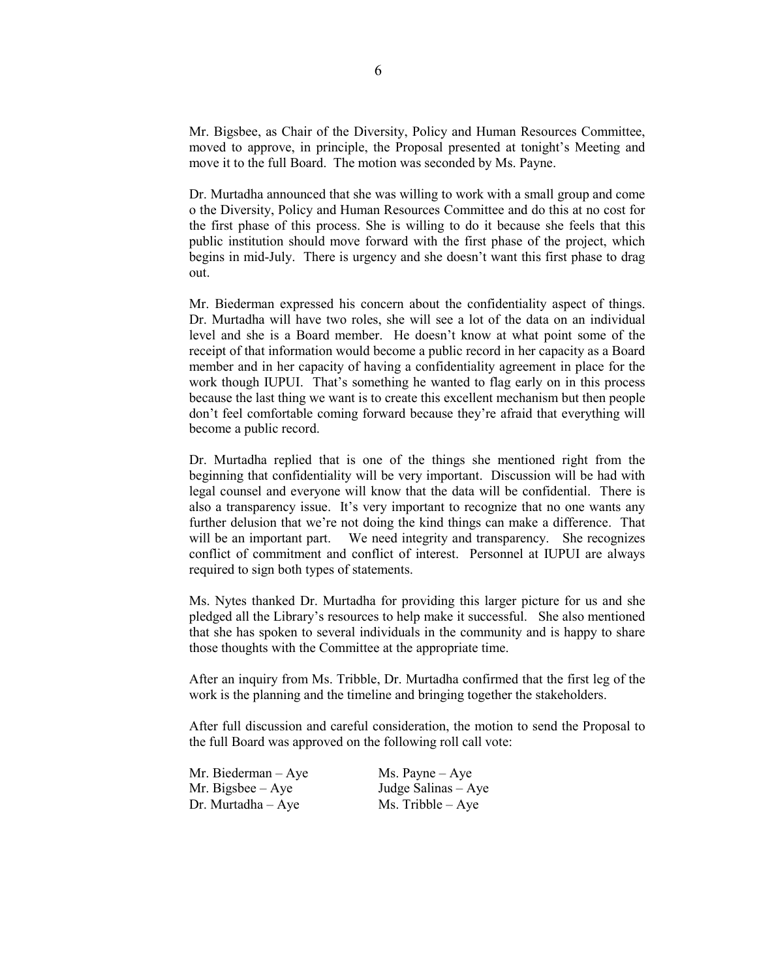Mr. Bigsbee, as Chair of the Diversity, Policy and Human Resources Committee, moved to approve, in principle, the Proposal presented at tonight's Meeting and move it to the full Board. The motion was seconded by Ms. Payne.

Dr. Murtadha announced that she was willing to work with a small group and come o the Diversity, Policy and Human Resources Committee and do this at no cost for the first phase of this process. She is willing to do it because she feels that this public institution should move forward with the first phase of the project, which begins in mid-July. There is urgency and she doesn't want this first phase to drag out.

Mr. Biederman expressed his concern about the confidentiality aspect of things. Dr. Murtadha will have two roles, she will see a lot of the data on an individual level and she is a Board member. He doesn't know at what point some of the receipt of that information would become a public record in her capacity as a Board member and in her capacity of having a confidentiality agreement in place for the work though IUPUI. That's something he wanted to flag early on in this process because the last thing we want is to create this excellent mechanism but then people don't feel comfortable coming forward because they're afraid that everything will become a public record.

Dr. Murtadha replied that is one of the things she mentioned right from the beginning that confidentiality will be very important. Discussion will be had with legal counsel and everyone will know that the data will be confidential. There is also a transparency issue. It's very important to recognize that no one wants any further delusion that we're not doing the kind things can make a difference. That will be an important part. We need integrity and transparency. She recognizes conflict of commitment and conflict of interest. Personnel at IUPUI are always required to sign both types of statements.

Ms. Nytes thanked Dr. Murtadha for providing this larger picture for us and she pledged all the Library's resources to help make it successful. She also mentioned that she has spoken to several individuals in the community and is happy to share those thoughts with the Committee at the appropriate time.

After an inquiry from Ms. Tribble, Dr. Murtadha confirmed that the first leg of the work is the planning and the timeline and bringing together the stakeholders.

After full discussion and careful consideration, the motion to send the Proposal to the full Board was approved on the following roll call vote:

| Mr. Biederman $-$ Aye | $Ms. \text{Payne} - Aye$ |
|-----------------------|--------------------------|
| Mr. Bigsbee $-$ Aye   | Judge Salinas $-$ Aye    |
| $Dr.$ Murtadha $-Aye$ | $Ms.$ Tribble $-$ Aye    |